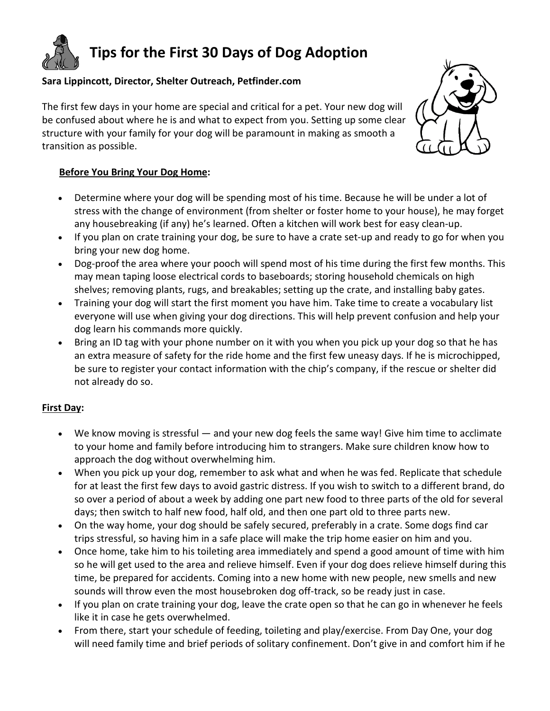**Tips for the First 30 Days of Dog Adoption**

## **Sara Lippincott, Director, Shelter Outreach, Petfinder.com**

The first few days in your home are special and critical for a pet. Your new dog will be confused about where he is and what to expect from you. Setting up some clear structure with your family for your dog will be paramount in making as smooth a transition as possible.



## **Before You Bring Your Dog Home:**

- Determine where your dog will be spending most of his time. Because he will be under a lot of stress with the change of environment (from shelter or foster home to your house), he may forget any housebreaking (if any) he's learned. Often a kitchen will work best for easy clean-up.
- If you plan on crate training your dog, be sure to have a crate set-up and ready to go for when you bring your new dog home.
- Dog-proof the area where your pooch will spend most of his time during the first few months. This may mean taping loose electrical cords to baseboards; storing household chemicals on high shelves; removing plants, rugs, and breakables; setting up the crate, and installing baby gates.
- Training your dog will start the first moment you have him. Take time to create a vocabulary list everyone will use when giving your dog directions. This will help prevent confusion and help your dog learn his commands more quickly.
- Bring an ID tag with your phone number on it with you when you pick up your dog so that he has an extra measure of safety for the ride home and the first few uneasy days. If he is microchipped, be sure to register your contact information with the chip's company, if the rescue or shelter did not already do so.

## **First Day:**

- We know moving is stressful and your new dog feels the same way! Give him time to acclimate to your home and family before introducing him to strangers. Make sure children know how to approach the dog without overwhelming him.
- When you pick up your dog, remember to ask what and when he was fed. Replicate that schedule for at least the first few days to avoid gastric distress. If you wish to switch to a different brand, do so over a period of about a week by adding one part new food to three parts of the old for several days; then switch to half new food, half old, and then one part old to three parts new.
- On the way home, your dog should be safely secured, preferably in a crate. Some dogs find car trips stressful, so having him in a safe place will make the trip home easier on him and you.
- Once home, take him to his toileting area immediately and spend a good amount of time with him so he will get used to the area and relieve himself. Even if your dog does relieve himself during this time, be prepared for accidents. Coming into a new home with new people, new smells and new sounds will throw even the most housebroken dog off-track, so be ready just in case.
- If you plan on crate training your dog, leave the crate open so that he can go in whenever he feels like it in case he gets overwhelmed.
- From there, start your schedule of feeding, toileting and play/exercise. From Day One, your dog will need family time and brief periods of solitary confinement. Don't give in and comfort him if he